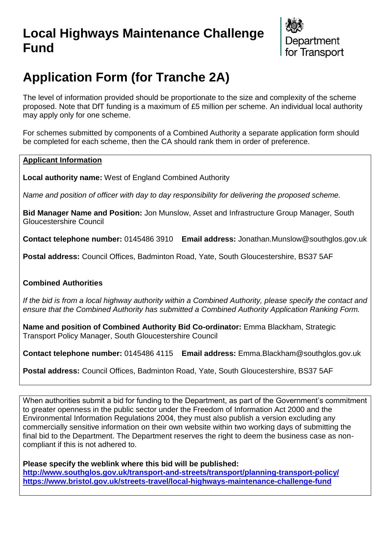## **Local Highways Maintenance Challenge Fund**



# **Application Form (for Tranche 2A)**

The level of information provided should be proportionate to the size and complexity of the scheme proposed. Note that DfT funding is a maximum of £5 million per scheme. An individual local authority may apply only for one scheme.

For schemes submitted by components of a Combined Authority a separate application form should be completed for each scheme, then the CA should rank them in order of preference.

### **Applicant Information**

**Local authority name:** West of England Combined Authority

*Name and position of officer with day to day responsibility for delivering the proposed scheme.* 

**Bid Manager Name and Position:** Jon Munslow, Asset and Infrastructure Group Manager, South Gloucestershire Council

**Contact telephone number:** 0145486 3910 **Email address:** Jonathan.Munslow@southglos.gov.uk

**Postal address:** Council Offices, Badminton Road, Yate, South Gloucestershire, BS37 5AF

## **Combined Authorities**

*If the bid is from a local highway authority within a Combined Authority, please specify the contact and ensure that the Combined Authority has submitted a Combined Authority Application Ranking Form.*

**Name and position of Combined Authority Bid Co-ordinator:** Emma Blackham, Strategic Transport Policy Manager, South Gloucestershire Council

**Contact telephone number:** 0145486 4115 **Email address:** Emma.Blackham@southglos.gov.uk

**Postal address:** Council Offices, Badminton Road, Yate, South Gloucestershire, BS37 5AF

When authorities submit a bid for funding to the Department, as part of the Government's commitment to greater openness in the public sector under the Freedom of Information Act 2000 and the Environmental Information Regulations 2004, they must also publish a version excluding any commercially sensitive information on their own website within two working days of submitting the final bid to the Department. The Department reserves the right to deem the business case as noncompliant if this is not adhered to.

**Please specify the weblink where this bid will be published:** 

**<http://www.southglos.gov.uk/transport-and-streets/transport/planning-transport-policy/> <https://www.bristol.gov.uk/streets-travel/local-highways-maintenance-challenge-fund>**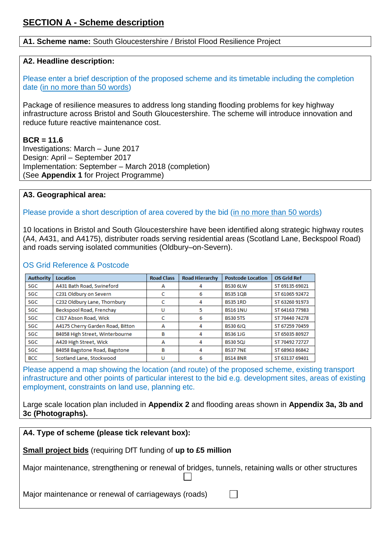#### **A1. Scheme name:** South Gloucestershire / Bristol Flood Resilience Project

#### **A2. Headline description:**

Please enter a brief description of the proposed scheme and its timetable including the completion date (in no more than 50 words)

Package of resilience measures to address long standing flooding problems for key highway infrastructure across Bristol and South Gloucestershire. The scheme will introduce innovation and reduce future reactive maintenance cost.

#### **BCR = 11.6**

Investigations: March – June 2017 Design: April – September 2017 Implementation: September – March 2018 (completion) (See **Appendix 1** for Project Programme)

### **A3. Geographical area:**

Please provide a short description of area covered by the bid (in no more than 50 words)

10 locations in Bristol and South Gloucestershire have been identified along strategic highway routes (A4, A431, and A4175), distributer roads serving residential areas (Scotland Lane, Beckspool Road) and roads serving isolated communities (Oldbury–on-Severn).

## OS Grid Reference & Postcode

| <b>Authority</b> | Location                         | <b>Road Class</b> | <b>Road Hierarchy</b> | <b>Postcode Location</b> | <b>OS Grid Ref</b> |
|------------------|----------------------------------|-------------------|-----------------------|--------------------------|--------------------|
| <b>SGC</b>       | A431 Bath Road, Swineford        | A                 |                       | <b>BS30 6LW</b>          | ST 69135 69021     |
| SGC              | C231 Oldbury on Severn           | c                 | 6                     | <b>BS351OB</b>           | ST 61065 92472     |
| <b>SGC</b>       | C232 Oldbury Lane, Thornbury     |                   | 4                     | <b>BS35 1RD</b>          | ST 63260 91973     |
| SGC              | Beckspool Road, Frenchay         | U                 | 5                     | <b>BS161NU</b>           | ST 64163 77983     |
| <b>SGC</b>       | C317 Abson Road, Wick            |                   | 6                     | <b>BS30 5TS</b>          | ST 70440 74278     |
| SGC              | A4175 Cherry Garden Road, Bitton | A                 | 4                     | <b>BS30 6JQ</b>          | ST 67259 70459     |
| <b>SGC</b>       | B4058 High Street, Winterbourne  | в                 | 4                     | <b>BS361JG</b>           | ST 65035 80927     |
| SGC              | A420 High Street, Wick           | А                 | 4                     | <b>BS30 5QJ</b>          | ST 70492 72727     |
| <b>SGC</b>       | B4058 Bagstone Road, Bagstone    | в                 | 4                     | <b>BS377NE</b>           | ST 68963 86842     |
| <b>BCC</b>       | Scotland Lane, Stockwood         | U                 | 6                     | <b>BS14 8NR</b>          | ST 63137 69401     |

Please append a map showing the location (and route) of the proposed scheme, existing transport infrastructure and other points of particular interest to the bid e.g. development sites, areas of existing employment, constraints on land use, planning etc.

Large scale location plan included in **Appendix 2** and flooding areas shown in **Appendix 3a, 3b and 3c (Photographs).**

## **A4. Type of scheme (please tick relevant box):**

## **Small project bids** (requiring DfT funding of **up to £5 million**

Major maintenance, strengthening or renewal of bridges, tunnels, retaining walls or other structures

Major maintenance or renewal of carriageways (roads)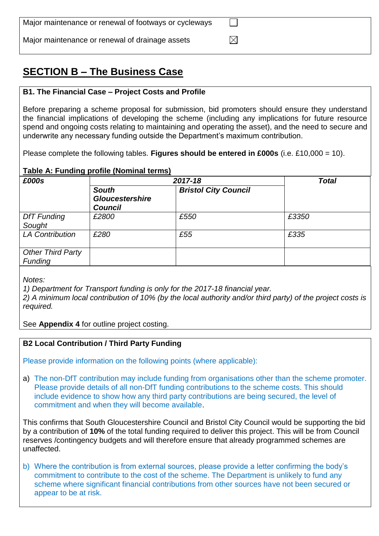| Major maintenance or renewal of footways or cycleways |  |
|-------------------------------------------------------|--|
| Major maintenance or renewal of drainage assets       |  |

## **SECTION B – The Business Case**

## **B1. The Financial Case – Project Costs and Profile**

Before preparing a scheme proposal for submission, bid promoters should ensure they understand the financial implications of developing the scheme (including any implications for future resource spend and ongoing costs relating to maintaining and operating the asset), and the need to secure and underwrite any necessary funding outside the Department's maximum contribution.

Please complete the following tables. **Figures should be entered in £000s** (i.e. £10,000 = 10).

#### **Table A: Funding profile (Nominal terms)**

| £000s                               | 2017-18                                                  |                             | <b>Total</b> |
|-------------------------------------|----------------------------------------------------------|-----------------------------|--------------|
|                                     | <b>South</b><br><b>Gloucestershire</b><br><b>Council</b> | <b>Bristol City Council</b> |              |
| <b>DfT</b> Funding<br>Sought        | £2800                                                    | £550                        | £3350        |
| <b>LA Contribution</b>              | £280                                                     | £55                         | £335         |
| <b>Other Third Party</b><br>Funding |                                                          |                             |              |

*Notes:*

*1) Department for Transport funding is only for the 2017-18 financial year.*

*2) A minimum local contribution of 10% (by the local authority and/or third party) of the project costs is required.*

See **Appendix 4** for outline project costing.

#### **B2 Local Contribution / Third Party Funding**

Please provide information on the following points (where applicable):

a) The non-DfT contribution may include funding from organisations other than the scheme promoter. Please provide details of all non-DfT funding contributions to the scheme costs. This should include evidence to show how any third party contributions are being secured, the level of commitment and when they will become available.

This confirms that South Gloucestershire Council and Bristol City Council would be supporting the bid by a contribution of **10%** of the total funding required to deliver this project. This will be from Council reserves /contingency budgets and will therefore ensure that already programmed schemes are unaffected.

b) Where the contribution is from external sources, please provide a letter confirming the body's commitment to contribute to the cost of the scheme. The Department is unlikely to fund any scheme where significant financial contributions from other sources have not been secured or appear to be at risk.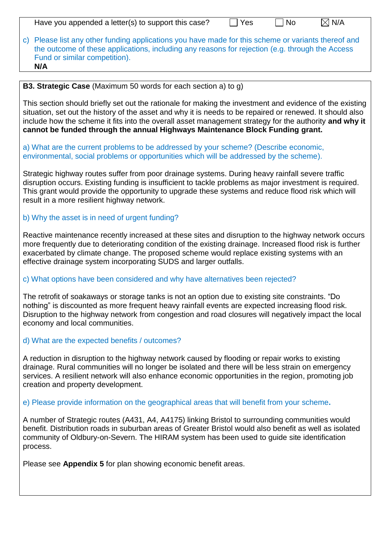| Have you appended a letter(s) to support this case? | $\vert$ Yes | $\Box$ No | $\boxtimes$ N/A |
|-----------------------------------------------------|-------------|-----------|-----------------|
|-----------------------------------------------------|-------------|-----------|-----------------|

c) Please list any other funding applications you have made for this scheme or variants thereof and the outcome of these applications, including any reasons for rejection (e.g. through the Access Fund or similar competition). **N/A**

## **B3. Strategic Case** (Maximum 50 words for each section a) to g)

This section should briefly set out the rationale for making the investment and evidence of the existing situation, set out the history of the asset and why it is needs to be repaired or renewed. It should also include how the scheme it fits into the overall asset management strategy for the authority **and why it cannot be funded through the annual Highways Maintenance Block Funding grant.** 

## a) What are the current problems to be addressed by your scheme? (Describe economic, environmental, social problems or opportunities which will be addressed by the scheme).

Strategic highway routes suffer from poor drainage systems. During heavy rainfall severe traffic disruption occurs. Existing funding is insufficient to tackle problems as major investment is required. This grant would provide the opportunity to upgrade these systems and reduce flood risk which will result in a more resilient highway network.

## b) Why the asset is in need of urgent funding?

Reactive maintenance recently increased at these sites and disruption to the highway network occurs more frequently due to deteriorating condition of the existing drainage. Increased flood risk is further exacerbated by climate change. The proposed scheme would replace existing systems with an effective drainage system incorporating SUDS and larger outfalls.

## c) What options have been considered and why have alternatives been rejected?

The retrofit of soakaways or storage tanks is not an option due to existing site constraints. "Do nothing" is discounted as more frequent heavy rainfall events are expected increasing flood risk. Disruption to the highway network from congestion and road closures will negatively impact the local economy and local communities.

## d) What are the expected benefits / outcomes?

A reduction in disruption to the highway network caused by flooding or repair works to existing drainage. Rural communities will no longer be isolated and there will be less strain on emergency services. A resilient network will also enhance economic opportunities in the region, promoting job creation and property development.

## e) Please provide information on the geographical areas that will benefit from your scheme**.**

A number of Strategic routes (A431, A4, A4175) linking Bristol to surrounding communities would benefit. Distribution roads in suburban areas of Greater Bristol would also benefit as well as isolated community of Oldbury-on-Severn. The HIRAM system has been used to guide site identification process.

Please see **Appendix 5** for plan showing economic benefit areas.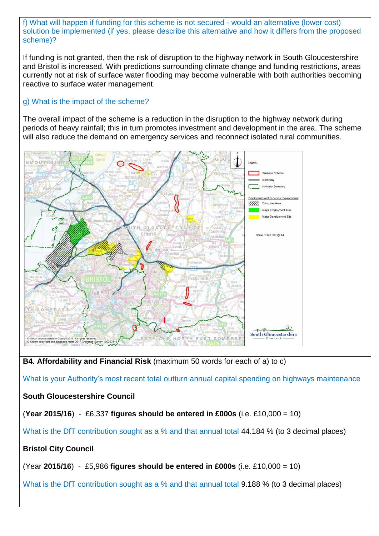f) What will happen if funding for this scheme is not secured - would an alternative (lower cost) solution be implemented (if yes, please describe this alternative and how it differs from the proposed scheme)?

If funding is not granted, then the risk of disruption to the highway network in South Gloucestershire and Bristol is increased. With predictions surrounding climate change and funding restrictions, areas currently not at risk of surface water flooding may become vulnerable with both authorities becoming reactive to surface water management.

## g) What is the impact of the scheme?

The overall impact of the scheme is a reduction in the disruption to the highway network during periods of heavy rainfall; this in turn promotes investment and development in the area. The scheme will also reduce the demand on emergency services and reconnect isolated rural communities.



**B4. Affordability and Financial Risk** (maximum 50 words for each of a) to c)

What is your Authority's most recent total outturn annual capital spending on highways maintenance

## **South Gloucestershire Council**

(**Year 2015/16**) - £6,337 **figures should be entered in £000s** (i.e. £10,000 = 10)

What is the DfT contribution sought as a % and that annual total 44.184 % (to 3 decimal places)

## **Bristol City Council**

(Year **2015/16**) - £5,986 **figures should be entered in £000s** (i.e. £10,000 = 10)

What is the DfT contribution sought as a % and that annual total 9.188 % (to 3 decimal places)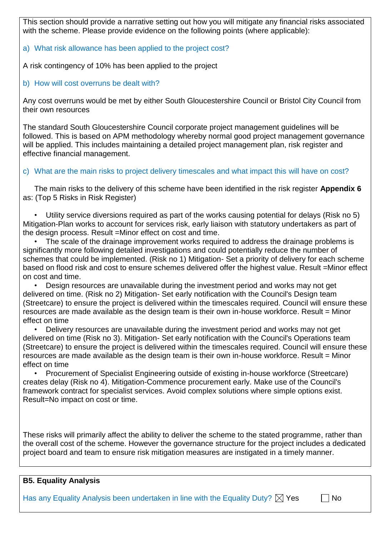This section should provide a narrative setting out how you will mitigate any financial risks associated with the scheme. Please provide evidence on the following points (where applicable):

## a) What risk allowance has been applied to the project cost?

A risk contingency of 10% has been applied to the project

b) How will cost overruns be dealt with?

Any cost overruns would be met by either South Gloucestershire Council or Bristol City Council from their own resources

The standard South Gloucestershire Council corporate project management guidelines will be followed. This is based on APM methodology whereby normal good project management governance will be applied. This includes maintaining a detailed project management plan, risk register and effective financial management.

c) What are the main risks to project delivery timescales and what impact this will have on cost?

The main risks to the delivery of this scheme have been identified in the risk register **Appendix 6** as: (Top 5 Risks in Risk Register)

• Utility service diversions required as part of the works causing potential for delays (Risk no 5) Mitigation-Plan works to account for services risk, early liaison with statutory undertakers as part of the design process. Result =Minor effect on cost and time.

The scale of the drainage improvement works required to address the drainage problems is significantly more following detailed investigations and could potentially reduce the number of schemes that could be implemented. (Risk no 1) Mitigation- Set a priority of delivery for each scheme based on flood risk and cost to ensure schemes delivered offer the highest value. Result =Minor effect on cost and time.

• Design resources are unavailable during the investment period and works may not get delivered on time. (Risk no 2) Mitigation- Set early notification with the Council's Design team (Streetcare) to ensure the project is delivered within the timescales required. Council will ensure these resources are made available as the design team is their own in-house workforce. Result = Minor effect on time

• Delivery resources are unavailable during the investment period and works may not get delivered on time (Risk no 3). Mitigation- Set early notification with the Council's Operations team (Streetcare) to ensure the project is delivered within the timescales required. Council will ensure these resources are made available as the design team is their own in-house workforce. Result = Minor effect on time

• Procurement of Specialist Engineering outside of existing in-house workforce (Streetcare) creates delay (Risk no 4). Mitigation-Commence procurement early. Make use of the Council's framework contract for specialist services. Avoid complex solutions where simple options exist. Result=No impact on cost or time.

These risks will primarily affect the ability to deliver the scheme to the stated programme, rather than the overall cost of the scheme. However the governance structure for the project includes a dedicated project board and team to ensure risk mitigation measures are instigated in a timely manner.

## **B5. Equality Analysis**

Has any Equality Analysis been undertaken in line with the Equality Duty?  $\boxtimes$  Yes  $\Pi$  No

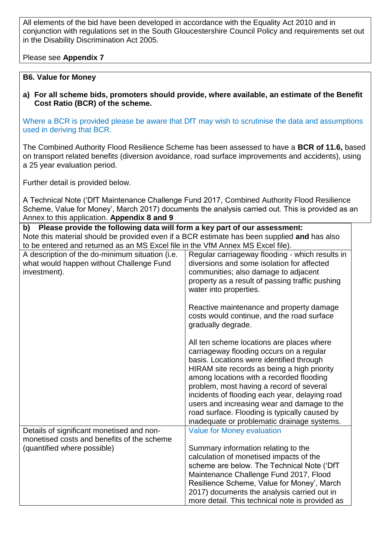All elements of the bid have been developed in accordance with the Equality Act 2010 and in conjunction with regulations set in the South Gloucestershire Council Policy and requirements set out in the Disability Discrimination Act 2005.

## Please see **Appendix 7**

#### **B6. Value for Money**

**a) For all scheme bids, promoters should provide, where available, an estimate of the Benefit Cost Ratio (BCR) of the scheme.** 

Where a BCR is provided please be aware that DfT may wish to scrutinise the data and assumptions used in deriving that BCR.

The Combined Authority Flood Resilience Scheme has been assessed to have a **BCR of 11.6,** based on transport related benefits (diversion avoidance, road surface improvements and accidents), using a 25 year evaluation period.

Further detail is provided below.

A Technical Note ('DfT Maintenance Challenge Fund 2017, Combined Authority Flood Resilience Scheme, Value for Money', March 2017) documents the analysis carried out. This is provided as an Annex to this application. **Appendix 8 and 9**

| Please provide the following data will form a key part of our assessment:<br>b)             |                                                                                               |  |  |
|---------------------------------------------------------------------------------------------|-----------------------------------------------------------------------------------------------|--|--|
| Note this material should be provided even if a BCR estimate has been supplied and has also |                                                                                               |  |  |
| to be entered and returned as an MS Excel file in the VfM Annex MS Excel file).             |                                                                                               |  |  |
| A description of the do-minimum situation (i.e.                                             | Regular carriageway flooding - which results in                                               |  |  |
| what would happen without Challenge Fund                                                    | diversions and some isolation for affected                                                    |  |  |
| investment).                                                                                | communities; also damage to adjacent                                                          |  |  |
|                                                                                             | property as a result of passing traffic pushing                                               |  |  |
|                                                                                             | water into properties.                                                                        |  |  |
|                                                                                             | Reactive maintenance and property damage                                                      |  |  |
|                                                                                             | costs would continue, and the road surface                                                    |  |  |
|                                                                                             | gradually degrade.                                                                            |  |  |
|                                                                                             | All ten scheme locations are places where                                                     |  |  |
|                                                                                             | carriageway flooding occurs on a regular                                                      |  |  |
|                                                                                             | basis. Locations were identified through                                                      |  |  |
|                                                                                             | HIRAM site records as being a high priority                                                   |  |  |
|                                                                                             | among locations with a recorded flooding                                                      |  |  |
|                                                                                             | problem, most having a record of several                                                      |  |  |
|                                                                                             | incidents of flooding each year, delaying road<br>users and increasing wear and damage to the |  |  |
|                                                                                             | road surface. Flooding is typically caused by                                                 |  |  |
|                                                                                             | inadequate or problematic drainage systems.                                                   |  |  |
| Details of significant monetised and non-                                                   | <b>Value for Money evaluation</b>                                                             |  |  |
| monetised costs and benefits of the scheme                                                  |                                                                                               |  |  |
| (quantified where possible)                                                                 | Summary information relating to the                                                           |  |  |
|                                                                                             | calculation of monetised impacts of the                                                       |  |  |
|                                                                                             | scheme are below. The Technical Note ('DfT                                                    |  |  |
|                                                                                             | Maintenance Challenge Fund 2017, Flood                                                        |  |  |
|                                                                                             | Resilience Scheme, Value for Money', March                                                    |  |  |
|                                                                                             | 2017) documents the analysis carried out in                                                   |  |  |
|                                                                                             | more detail. This technical note is provided as                                               |  |  |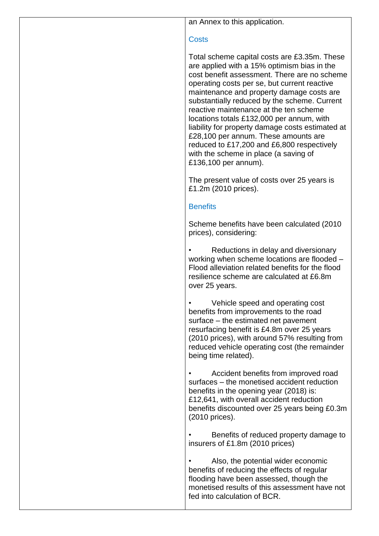an Annex to this application.

## **Costs**

Total scheme capital costs are £3.35m. These are applied with a 15% optimism bias in the cost benefit assessment. There are no scheme operating costs per se, but current reactive maintenance and property damage costs are substantially reduced by the scheme. Current reactive maintenance at the ten scheme locations totals £132,000 per annum, with liability for property damage costs estimated at £28,100 per annum. These amounts are reduced to £17,200 and £6,800 respectively with the scheme in place (a saving of £136,100 per annum).

The present value of costs over 25 years is £1.2m (2010 prices).

## **Benefits**

Scheme benefits have been calculated (2010 prices), considering:

• Reductions in delay and diversionary working when scheme locations are flooded – Flood alleviation related benefits for the flood resilience scheme are calculated at £6.8m over 25 years.

• Vehicle speed and operating cost benefits from improvements to the road surface – the estimated net pavement resurfacing benefit is £4.8m over 25 years (2010 prices), with around 57% resulting from reduced vehicle operating cost (the remainder being time related).

• Accident benefits from improved road surfaces – the monetised accident reduction benefits in the opening year (2018) is: £12,641, with overall accident reduction benefits discounted over 25 years being £0.3m (2010 prices).

• Benefits of reduced property damage to insurers of £1.8m (2010 prices)

Also, the potential wider economic benefits of reducing the effects of regular flooding have been assessed, though the monetised results of this assessment have not fed into calculation of BCR.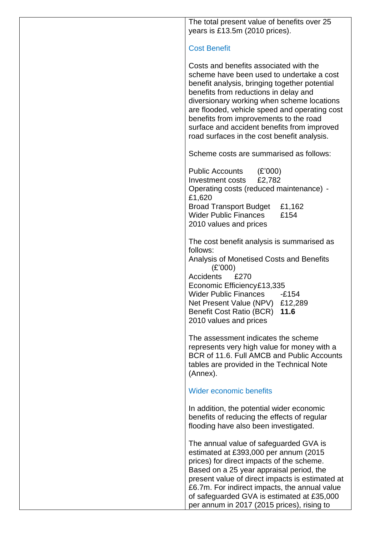The total present value of benefits over 25 years is £13.5m (2010 prices).

## Cost Benefit

Costs and benefits associated with the scheme have been used to undertake a cost benefit analysis, bringing together potential benefits from reductions in delay and diversionary working when scheme locations are flooded, vehicle speed and operating cost benefits from improvements to the road surface and accident benefits from improved road surfaces in the cost benefit analysis.

Scheme costs are summarised as follows:

Public Accounts (£'000) Investment costs £2,782 Operating costs (reduced maintenance) - £1,620 Broad Transport Budget £1,162 Wider Public Finances £154 2010 values and prices

The cost benefit analysis is summarised as follows: Analysis of Monetised Costs and Benefits (£'000) Accidents £270 Economic Efficiency£13,335 Wider Public Finances -£154 Net Present Value (NPV) £12,289 Benefit Cost Ratio (BCR) **11.6** 2010 values and prices

The assessment indicates the scheme represents very high value for money with a BCR of 11.6. Full AMCB and Public Accounts tables are provided in the Technical Note (Annex).

## Wider economic benefits

In addition, the potential wider economic benefits of reducing the effects of regular flooding have also been investigated.

The annual value of safeguarded GVA is estimated at £393,000 per annum (2015 prices) for direct impacts of the scheme. Based on a 25 year appraisal period, the present value of direct impacts is estimated at £6.7m. For indirect impacts, the annual value of safeguarded GVA is estimated at £35,000 per annum in 2017 (2015 prices), rising to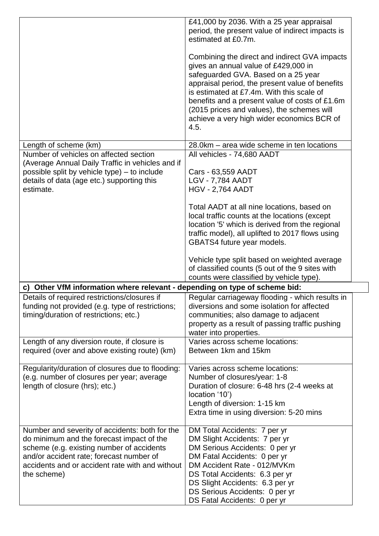|                                                                                               | £41,000 by 2036. With a 25 year appraisal<br>period, the present value of indirect impacts is |
|-----------------------------------------------------------------------------------------------|-----------------------------------------------------------------------------------------------|
|                                                                                               | estimated at £0.7m.                                                                           |
|                                                                                               | Combining the direct and indirect GVA impacts                                                 |
|                                                                                               | gives an annual value of £429,000 in                                                          |
|                                                                                               | safeguarded GVA. Based on a 25 year                                                           |
|                                                                                               | appraisal period, the present value of benefits<br>is estimated at £7.4m. With this scale of  |
|                                                                                               | benefits and a present value of costs of £1.6m                                                |
|                                                                                               | (2015 prices and values), the schemes will                                                    |
|                                                                                               | achieve a very high wider economics BCR of                                                    |
|                                                                                               | 4.5.                                                                                          |
| Length of scheme (km)                                                                         | 28.0km – area wide scheme in ten locations                                                    |
| Number of vehicles on affected section                                                        | All vehicles - 74,680 AADT                                                                    |
| (Average Annual Daily Traffic in vehicles and if                                              |                                                                                               |
| possible split by vehicle type) – to include                                                  | Cars - 63,559 AADT                                                                            |
| details of data (age etc.) supporting this<br>estimate.                                       | <b>LGV - 7,784 AADT</b>                                                                       |
|                                                                                               | <b>HGV - 2,764 AADT</b>                                                                       |
|                                                                                               | Total AADT at all nine locations, based on                                                    |
|                                                                                               | local traffic counts at the locations (except                                                 |
|                                                                                               | location '5' which is derived from the regional                                               |
|                                                                                               | traffic model), all uplifted to 2017 flows using                                              |
|                                                                                               | GBATS4 future year models.                                                                    |
|                                                                                               | Vehicle type split based on weighted average                                                  |
|                                                                                               | of classified counts (5 out of the 9 sites with                                               |
|                                                                                               | counts were classified by vehicle type).                                                      |
| c) Other VfM information where relevant - depending on type of scheme bid:                    |                                                                                               |
| Details of required restrictions/closures if                                                  | Regular carriageway flooding - which results in                                               |
| funding not provided (e.g. type of restrictions;                                              | diversions and some isolation for affected                                                    |
| timing/duration of restrictions; etc.)                                                        | communities; also damage to adjacent                                                          |
|                                                                                               | property as a result of passing traffic pushing                                               |
|                                                                                               | water into properties.                                                                        |
| Length of any diversion route, if closure is<br>required (over and above existing route) (km) | Varies across scheme locations:<br>Between 1km and 15km                                       |
|                                                                                               |                                                                                               |
|                                                                                               |                                                                                               |
| Regularity/duration of closures due to flooding:                                              | Varies across scheme locations:                                                               |
| (e.g. number of closures per year; average                                                    | Number of closures/year: 1-8                                                                  |
| length of closure (hrs); etc.)                                                                | Duration of closure: 6-48 hrs (2-4 weeks at                                                   |
|                                                                                               | location '10')                                                                                |
|                                                                                               | Length of diversion: 1-15 km                                                                  |
|                                                                                               | Extra time in using diversion: 5-20 mins                                                      |
| Number and severity of accidents: both for the                                                | DM Total Accidents: 7 per yr                                                                  |
| do minimum and the forecast impact of the                                                     | DM Slight Accidents: 7 per yr                                                                 |
| scheme (e.g. existing number of accidents                                                     | DM Serious Accidents: 0 per yr                                                                |
| and/or accident rate; forecast number of                                                      | DM Fatal Accidents: 0 per yr                                                                  |
| accidents and or accident rate with and without                                               | DM Accident Rate - 012/MVKm                                                                   |
| the scheme)                                                                                   | DS Total Accidents: 6.3 per yr                                                                |
|                                                                                               | DS Slight Accidents: 6.3 per yr                                                               |
|                                                                                               | DS Serious Accidents: 0 per yr<br>DS Fatal Accidents: 0 per yr                                |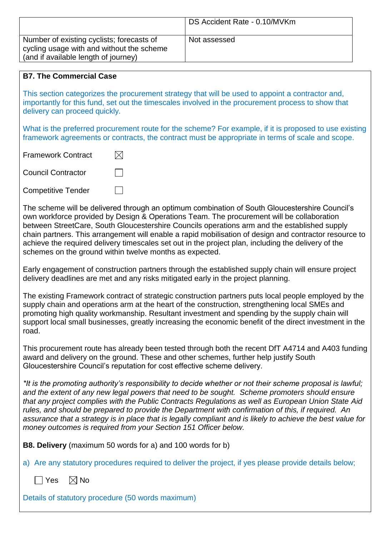|                                                                                                                                | DS Accident Rate - 0.10/MVKm |
|--------------------------------------------------------------------------------------------------------------------------------|------------------------------|
| Number of existing cyclists; forecasts of<br>cycling usage with and without the scheme<br>(and if available length of journey) | Not assessed                 |

## **B7. The Commercial Case**

This section categorizes the procurement strategy that will be used to appoint a contractor and, importantly for this fund, set out the timescales involved in the procurement process to show that delivery can proceed quickly.

What is the preferred procurement route for the scheme? For example, if it is proposed to use existing framework agreements or contracts, the contract must be appropriate in terms of scale and scope.

 $\boxtimes$ Framework Contract

Council Contractor

Competitive Tender

The scheme will be delivered through an optimum combination of South Gloucestershire Council's own workforce provided by Design & Operations Team. The procurement will be collaboration between StreetCare, South Gloucestershire Councils operations arm and the established supply chain partners. This arrangement will enable a rapid mobilisation of design and contractor resource to achieve the required delivery timescales set out in the project plan, including the delivery of the schemes on the ground within twelve months as expected.

Early engagement of construction partners through the established supply chain will ensure project delivery deadlines are met and any risks mitigated early in the project planning.

The existing Framework contract of strategic construction partners puts local people employed by the supply chain and operations arm at the heart of the construction, strengthening local SMEs and promoting high quality workmanship. Resultant investment and spending by the supply chain will support local small businesses, greatly increasing the economic benefit of the direct investment in the road.

This procurement route has already been tested through both the recent DfT A4714 and A403 funding award and delivery on the ground. These and other schemes, further help justify South Gloucestershire Council's reputation for cost effective scheme delivery.

*\*It is the promoting authority's responsibility to decide whether or not their scheme proposal is lawful; and the extent of any new legal powers that need to be sought. Scheme promoters should ensure that any project complies with the Public Contracts Regulations as well as European Union State Aid rules, and should be prepared to provide the Department with confirmation of this, if required. An assurance that a strategy is in place that is legally compliant and is likely to achieve the best value for money outcomes is required from your Section 151 Officer below.*

**B8. Delivery** (maximum 50 words for a) and 100 words for b)

a) Are any statutory procedures required to deliver the project, if yes please provide details below;

 $\Box$  Yes  $\Box$  No

Details of statutory procedure (50 words maximum)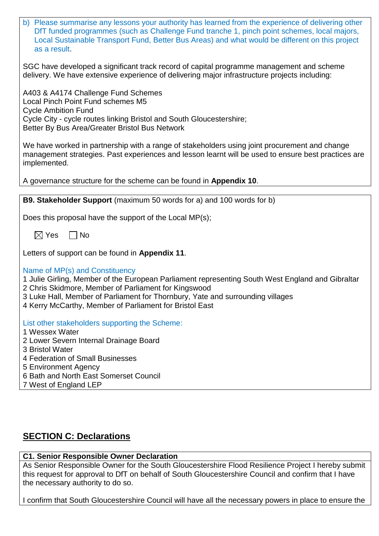| b) Please summarise any lessons your authority has learned from the experience of delivering other |
|----------------------------------------------------------------------------------------------------|
| DfT funded programmes (such as Challenge Fund tranche 1, pinch point schemes, local majors,        |
| Local Sustainable Transport Fund, Better Bus Areas) and what would be different on this project    |
| as a result.                                                                                       |

SGC have developed a significant track record of capital programme management and scheme delivery. We have extensive experience of delivering major infrastructure projects including:

A403 & A4174 Challenge Fund Schemes Local Pinch Point Fund schemes M5 Cycle Ambition Fund Cycle City - cycle routes linking Bristol and South Gloucestershire; Better By Bus Area/Greater Bristol Bus Network

We have worked in partnership with a range of stakeholders using joint procurement and change management strategies. Past experiences and lesson learnt will be used to ensure best practices are implemented.

A governance structure for the scheme can be found in **Appendix 10**.

**B9. Stakeholder Support** (maximum 50 words for a) and 100 words for b)

Does this proposal have the support of the Local MP(s);

 $\boxtimes$  Yes  $\Box$  No

Letters of support can be found in **Appendix 11**.

Name of MP(s) and Constituency

1 Julie Girling, Member of the European Parliament representing South West England and Gibraltar 2 Chris Skidmore, Member of Parliament for Kingswood

- 3 Luke Hall, Member of Parliament for Thornbury, Yate and surrounding villages
- 4 Kerry McCarthy, Member of Parliament for Bristol East

List other stakeholders supporting the Scheme:

- 1 Wessex Water
- 2 Lower Severn Internal Drainage Board
- 3 Bristol Water
- 4 Federation of Small Businesses
- 5 Environment Agency
- 6 Bath and North East Somerset Council
- 7 West of England LEP

## **SECTION C: Declarations**

#### **C1. Senior Responsible Owner Declaration**

As Senior Responsible Owner for the South Gloucestershire Flood Resilience Project I hereby submit this request for approval to DfT on behalf of South Gloucestershire Council and confirm that I have the necessary authority to do so.

I confirm that South Gloucestershire Council will have all the necessary powers in place to ensure the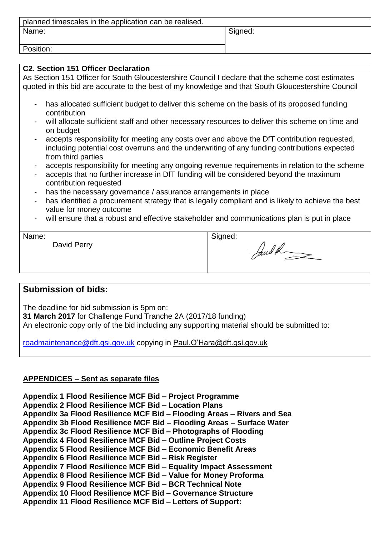| planned timescales in the application can be realised. |         |  |  |
|--------------------------------------------------------|---------|--|--|
| Name:                                                  | Signed: |  |  |
|                                                        |         |  |  |
| Position:                                              |         |  |  |

#### **C2. Section 151 Officer Declaration**

As Section 151 Officer for South Gloucestershire Council I declare that the scheme cost estimates quoted in this bid are accurate to the best of my knowledge and that South Gloucestershire Council

- has allocated sufficient budget to deliver this scheme on the basis of its proposed funding contribution
- will allocate sufficient staff and other necessary resources to deliver this scheme on time and on budget
- accepts responsibility for meeting any costs over and above the DfT contribution requested, including potential cost overruns and the underwriting of any funding contributions expected from third parties
- accepts responsibility for meeting any ongoing revenue requirements in relation to the scheme
- accepts that no further increase in DfT funding will be considered beyond the maximum contribution requested
- has the necessary governance / assurance arrangements in place
- has identified a procurement strategy that is legally compliant and is likely to achieve the best value for money outcome
- will ensure that a robust and effective stakeholder and communications plan is put in place

| Name: |             | Signed: |
|-------|-------------|---------|
|       | David Perry | and a   |

## **Submission of bids:**

The deadline for bid submission is 5pm on:

**31 March 2017** for Challenge Fund Tranche 2A (2017/18 funding)

An electronic copy only of the bid including any supporting material should be submitted to:

[roadmaintenance@dft.gsi.gov.uk](mailto:roadmaintenance@dft.gsi.gov.uk) copying in Paul.O'Hara@dft.gsi.gov.uk

## **APPENDICES – Sent as separate files**

**Appendix 1 Flood Resilience MCF Bid – Project Programme Appendix 2 Flood Resilience MCF Bid – Location Plans Appendix 3a Flood Resilience MCF Bid – Flooding Areas – Rivers and Sea Appendix 3b Flood Resilience MCF Bid – Flooding Areas – Surface Water Appendix 3c Flood Resilience MCF Bid – Photographs of Flooding Appendix 4 Flood Resilience MCF Bid – Outline Project Costs Appendix 5 Flood Resilience MCF Bid – Economic Benefit Areas Appendix 6 Flood Resilience MCF Bid – Risk Register Appendix 7 Flood Resilience MCF Bid – Equality Impact Assessment Appendix 8 Flood Resilience MCF Bid – Value for Money Proforma Appendix 9 Flood Resilience MCF Bid – BCR Technical Note Appendix 10 Flood Resilience MCF Bid – Governance Structure Appendix 11 Flood Resilience MCF Bid – Letters of Support:**